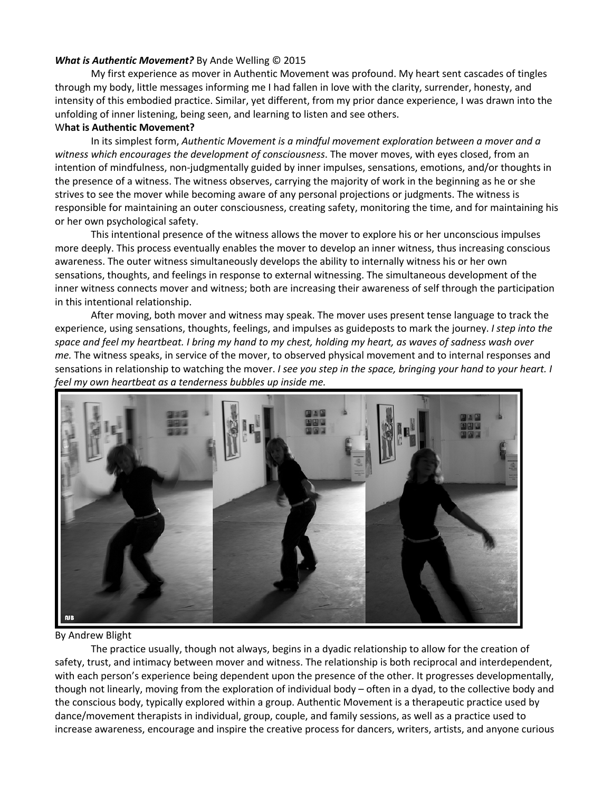## *What is Authentic Movement?* By Ande Welling © 2015

My first experience as mover in Authentic Movement was profound. My heart sent cascades of tingles through my body, little messages informing me I had fallen in love with the clarity, surrender, honesty, and intensity of this embodied practice. Similar, yet different, from my prior dance experience, I was drawn into the unfolding of inner listening, being seen, and learning to listen and see others.

## W**hat is Authentic Movement?**

In its simplest form, *Authentic Movement is a mindful movement exploration between a mover and a witness which encourages the development of consciousness*. The mover moves, with eyes closed, from an intention of mindfulness, non-judgmentally guided by inner impulses, sensations, emotions, and/or thoughts in the presence of a witness. The witness observes, carrying the majority of work in the beginning as he or she strives to see the mover while becoming aware of any personal projections or judgments. The witness is responsible for maintaining an outer consciousness, creating safety, monitoring the time, and for maintaining his or her own psychological safety.

This intentional presence of the witness allows the mover to explore his or her unconscious impulses more deeply. This process eventually enables the mover to develop an inner witness, thus increasing conscious awareness. The outer witness simultaneously develops the ability to internally witness his or her own sensations, thoughts, and feelings in response to external witnessing. The simultaneous development of the inner witness connects mover and witness; both are increasing their awareness of self through the participation in this intentional relationship.

After moving, both mover and witness may speak. The mover uses present tense language to track the experience, using sensations, thoughts, feelings, and impulses as guideposts to mark the journey. *I step into the* space and feel my heartbeat. I bring my hand to my chest, holding my heart, as waves of sadness wash over *me.* The witness speaks, in service of the mover, to observed physical movement and to internal responses and sensations in relationship to watching the mover. *I see you step in the space, bringing your hand to your heart. I feel my own heartbeat as a tenderness bubbles up inside me.*



## By Andrew Blight

The practice usually, though not always, begins in a dyadic relationship to allow for the creation of safety, trust, and intimacy between mover and witness. The relationship is both reciprocal and interdependent, with each person's experience being dependent upon the presence of the other. It progresses developmentally, though not linearly, moving from the exploration of individual body – often in a dyad, to the collective body and the conscious body, typically explored within a group. Authentic Movement is a therapeutic practice used by dance/movement therapists in individual, group, couple, and family sessions, as well as a practice used to increase awareness, encourage and inspire the creative process for dancers, writers, artists, and anyone curious